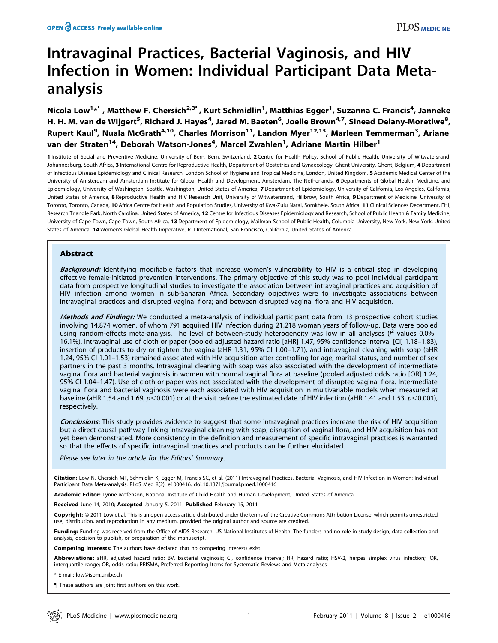# Intravaginal Practices, Bacterial Vaginosis, and HIV Infection in Women: Individual Participant Data Metaanalysis

Nicola Low $^{1*}$  , Matthew F. Chersich $^{2,3^{\prime}\! \mathbb{I}}$ , Kurt Schmidlin $^{1}$ , Matthias Egger $^{1}$ , Suzanna C. Francis $^{4}$ , Janneke H. H. M. van de Wijgert<sup>5</sup>, Richard J. Hayes<sup>4</sup>, Jared M. Baeten<sup>6</sup>, Joelle Brown<sup>4,7</sup>, Sinead Delany-Moretlwe<sup>8</sup>, Rupert Kaul<sup>9</sup>, Nuala McGrath<sup>4,10</sup>, Charles Morrison<sup>11</sup>, Landon Myer<sup>12,13</sup>, Marleen Temmerman<sup>3</sup>, Ariane van der Straten<sup>14</sup>, Deborah Watson-Jones<sup>4</sup>, Marcel Zwahlen<sup>1</sup>, Adriane Martin Hilber<sup>1</sup>

1 Institute of Social and Preventive Medicine, University of Bern, Bern, Switzerland, 2 Centre for Health Policy, School of Public Health, University of Witwatersrand, Johannesburg, South Africa, 3 International Centre for Reproductive Health, Department of Obstetrics and Gynaecology, Ghent University, Ghent, Belgium, 4 Department of Infectious Disease Epidemiology and Clinical Research, London School of Hygiene and Tropical Medicine, London, United Kingdom, 5 Academic Medical Center of the University of Amsterdam and Amsterdam Institute for Global Health and Development, Amsterdam, The Netherlands, 6 Departments of Global Health, Medicine, and Epidemiology, University of Washington, Seattle, Washington, United States of America, 7 Department of Epidemiology, University of California, Los Angeles, California, United States of America, 8 Reproductive Health and HIV Research Unit, University of Witwatersrand, Hillbrow, South Africa, 9 Department of Medicine, University of Toronto, Toronto, Canada, 10 Africa Centre for Health and Population Studies, University of Kwa-Zulu Natal, Somkhele, South Africa, 11 Clinical Sciences Department, FHI, Research Triangle Park, North Carolina, United States of America, 12 Centre for Infectious Diseases Epidemiology and Research, School of Public Health & Family Medicine, University of Cape Town, Cape Town, South Africa, 13 Department of Epidemiology, Mailman School of Public Health, Columbia University, New York, New York, United States of America, 14 Women's Global Health Imperative, RTI International, San Francisco, California, United States of America

## Abstract

Background: Identifying modifiable factors that increase women's vulnerability to HIV is a critical step in developing effective female-initiated prevention interventions. The primary objective of this study was to pool individual participant data from prospective longitudinal studies to investigate the association between intravaginal practices and acquisition of HIV infection among women in sub-Saharan Africa. Secondary objectives were to investigate associations between intravaginal practices and disrupted vaginal flora; and between disrupted vaginal flora and HIV acquisition.

Methods and Findings: We conducted a meta-analysis of individual participant data from 13 prospective cohort studies involving 14,874 women, of whom 791 acquired HIV infection during 21,218 woman years of follow-up. Data were pooled using random-effects meta-analysis. The level of between-study heterogeneity was low in all analyses ( $l^2$  values 0.0%-16.1%). Intravaginal use of cloth or paper (pooled adjusted hazard ratio [aHR] 1.47, 95% confidence interval [CI] 1.18–1.83), insertion of products to dry or tighten the vagina (aHR 1.31, 95% CI 1.00–1.71), and intravaginal cleaning with soap (aHR 1.24, 95% CI 1.01–1.53) remained associated with HIV acquisition after controlling for age, marital status, and number of sex partners in the past 3 months. Intravaginal cleaning with soap was also associated with the development of intermediate vaginal flora and bacterial vaginosis in women with normal vaginal flora at baseline (pooled adjusted odds ratio [OR] 1.24, 95% CI 1.04–1.47). Use of cloth or paper was not associated with the development of disrupted vaginal flora. Intermediate vaginal flora and bacterial vaginosis were each associated with HIV acquisition in multivariable models when measured at baseline (aHR 1.54 and 1.69,  $p<0.001$ ) or at the visit before the estimated date of HIV infection (aHR 1.41 and 1.53,  $p<0.001$ ), respectively.

Conclusions: This study provides evidence to suggest that some intravaginal practices increase the risk of HIV acquisition but a direct causal pathway linking intravaginal cleaning with soap, disruption of vaginal flora, and HIV acquisition has not yet been demonstrated. More consistency in the definition and measurement of specific intravaginal practices is warranted so that the effects of specific intravaginal practices and products can be further elucidated.

Please see later in the article for the Editors' Summary.

Citation: Low N, Chersich MF, Schmidlin K, Egger M, Francis SC, et al. (2011) Intravaginal Practices, Bacterial Vaginosis, and HIV Infection in Women: Individual Participant Data Meta-analysis. PLoS Med 8(2): e1000416. doi:10.1371/journal.pmed.1000416

Academic Editor: Lynne Mofenson, National Institute of Child Health and Human Development, United States of America

Received June 14, 2010; Accepted January 5, 2011; Published February 15, 2011

Copyright: © 2011 Low et al. This is an open-access article distributed under the terms of the Creative Commons Attribution License, which permits unrestricted use, distribution, and reproduction in any medium, provided the original author and source are credited.

Funding: Funding was received from the Office of AIDS Research, US National Institutes of Health. The funders had no role in study design, data collection and analysis, decision to publish, or preparation of the manuscript.

Competing Interests: The authors have declared that no competing interests exist.

Abbreviations: aHR, adjusted hazard ratio; BV, bacterial vaginosis; CI, confidence interval; HR, hazard ratio; HSV-2, herpes simplex virus infection; IQR, interquartile range; OR, odds ratio; PRISMA, Preferred Reporting Items for Systematic Reviews and Meta-analyses

\* E-mail: low@ispm.unibe.ch

" These authors are joint first authors on this work.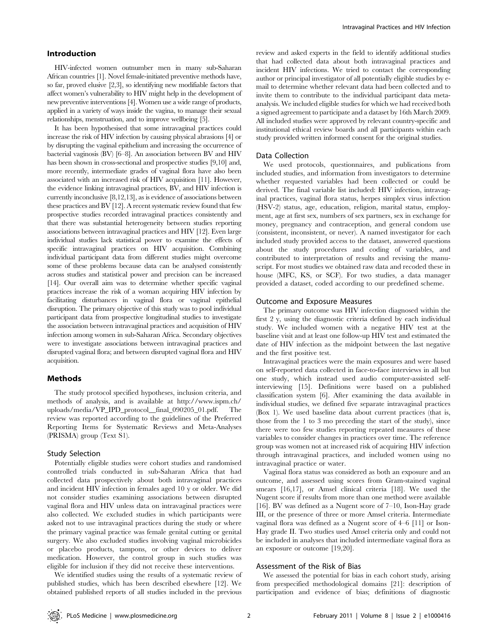## Introduction

HIV-infected women outnumber men in many sub-Saharan African countries [1]. Novel female-initiated preventive methods have, so far, proved elusive [2,3], so identifying new modifiable factors that affect women's vulnerability to HIV might help in the development of new preventive interventions [4]. Women use a wide range of products, applied in a variety of ways inside the vagina, to manage their sexual relationships, menstruation, and to improve wellbeing [5].

It has been hypothesised that some intravaginal practices could increase the risk of HIV infection by causing physical abrasions [4] or by disrupting the vaginal epithelium and increasing the occurrence of bacterial vaginosis (BV) [6–8]. An association between BV and HIV has been shown in cross-sectional and prospective studies [9,10] and, more recently, intermediate grades of vaginal flora have also been associated with an increased risk of HIV acquisition [11]. However, the evidence linking intravaginal practices, BV, and HIV infection is currently inconclusive [8,12,13], as is evidence of associations between these practices and BV [12]. A recent systematic review found that few prospective studies recorded intravaginal practices consistently and that there was substantial heterogeneity between studies reporting associations between intravaginal practices and HIV [12]. Even large individual studies lack statistical power to examine the effects of specific intravaginal practices on HIV acquisition. Combining individual participant data from different studies might overcome some of these problems because data can be analysed consistently across studies and statistical power and precision can be increased [14]. Our overall aim was to determine whether specific vaginal practices increase the risk of a woman acquiring HIV infection by facilitating disturbances in vaginal flora or vaginal epithelial disruption. The primary objective of this study was to pool individual participant data from prospective longitudinal studies to investigate the association between intravaginal practices and acquisition of HIV infection among women in sub-Saharan Africa. Secondary objectives were to investigate associations between intravaginal practices and disrupted vaginal flora; and between disrupted vaginal flora and HIV acquisition.

#### Methods

The study protocol specified hypotheses, inclusion criteria, and methods of analysis, and is available at http://www.ispm.ch/ uploads/media/VP\_IPD\_protocol\_\_final\_090205\_01.pdf. The review was reported according to the guidelines of the Preferred Reporting Items for Systematic Reviews and Meta-Analyses (PRISMA) group (Text S1).

## Study Selection

Potentially eligible studies were cohort studies and randomised controlled trials conducted in sub-Saharan Africa that had collected data prospectively about both intravaginal practices and incident HIV infection in females aged 10 y or older. We did not consider studies examining associations between disrupted vaginal flora and HIV unless data on intravaginal practices were also collected. We excluded studies in which participants were asked not to use intravaginal practices during the study or where the primary vaginal practice was female genital cutting or genital surgery. We also excluded studies involving vaginal microbicides or placebo products, tampons, or other devices to deliver medication. However, the control group in such studies was eligible for inclusion if they did not receive these interventions.

We identified studies using the results of a systematic review of published studies, which has been described elsewhere [12]. We obtained published reports of all studies included in the previous

review and asked experts in the field to identify additional studies that had collected data about both intravaginal practices and incident HIV infections. We tried to contact the corresponding author or principal investigator of all potentially eligible studies by email to determine whether relevant data had been collected and to invite them to contribute to the individual participant data metaanalysis. We included eligible studies for which we had received both a signed agreement to participate and a dataset by 16th March 2009. All included studies were approved by relevant country-specific and institutional ethical review boards and all participants within each study provided written informed consent for the original studies.

## Data Collection

We used protocols, questionnaires, and publications from included studies, and information from investigators to determine whether requested variables had been collected or could be derived. The final variable list included: HIV infection, intravaginal practices, vaginal flora status, herpes simplex virus infection (HSV-2) status, age, education, religion, marital status, employment, age at first sex, numbers of sex partners, sex in exchange for money, pregnancy and contraception, and general condom use (consistent, inconsistent, or never). A named investigator for each included study provided access to the dataset, answered questions about the study procedures and coding of variables, and contributed to interpretation of results and revising the manuscript. For most studies we obtained raw data and recoded these in house (MFC, KS, or SCF). For two studies, a data manager provided a dataset, coded according to our predefined scheme.

#### Outcome and Exposure Measures

The primary outcome was HIV infection diagnosed within the first 2 y, using the diagnostic criteria defined by each individual study. We included women with a negative HIV test at the baseline visit and at least one follow-up HIV test and estimated the date of HIV infection as the midpoint between the last negative and the first positive test.

Intravaginal practices were the main exposures and were based on self-reported data collected in face-to-face interviews in all but one study, which instead used audio computer-assisted selfinterviewing [15]. Definitions were based on a published classification system [6]. After examining the data available in individual studies, we defined five separate intravaginal practices (Box 1). We used baseline data about current practices (that is, those from the 1 to 3 mo preceding the start of the study), since there were too few studies reporting repeated measures of these variables to consider changes in practices over time. The reference group was women not at increased risk of acquiring HIV infection through intravaginal practices, and included women using no intravaginal practice or water.

Vaginal flora status was considered as both an exposure and an outcome, and assessed using scores from Gram-stained vaginal smears [16,17], or Amsel clinical criteria [18]. We used the Nugent score if results from more than one method were available [16]. BV was defined as a Nugent score of 7–10, Ison-Hay grade III, or the presence of three or more Amsel criteria. Intermediate vaginal flora was defined as a Nugent score of 4–6 [11] or Ison-Hay grade II. Two studies used Amsel criteria only and could not be included in analyses that included intermediate vaginal flora as an exposure or outcome [19,20].

## Assessment of the Risk of Bias

We assessed the potential for bias in each cohort study, arising from prespecified methodological domains [21]: description of participation and evidence of bias; definitions of diagnostic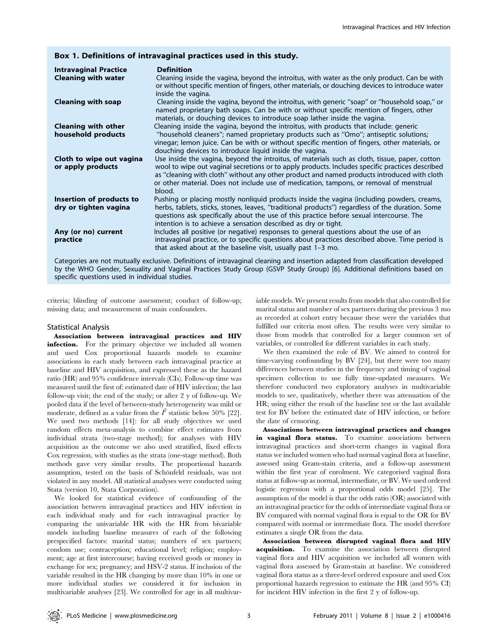## Box 1. Definitions of intravaginal practices used in this study.

| <b>Intravaginal Practice</b> | <b>Definition</b>                                                                                                                                                                                                                                                      |
|------------------------------|------------------------------------------------------------------------------------------------------------------------------------------------------------------------------------------------------------------------------------------------------------------------|
| <b>Cleaning with water</b>   | Cleaning inside the vagina, beyond the introitus, with water as the only product. Can be with<br>or without specific mention of fingers, other materials, or douching devices to introduce water<br>inside the vagina.                                                 |
| <b>Cleaning with soap</b>    | Cleaning inside the vagina, beyond the introitus, with generic "soap" or "household soap," or<br>named proprietary bath soaps. Can be with or without specific mention of fingers, other<br>materials, or douching devices to introduce soap lather inside the vagina. |
| <b>Cleaning with other</b>   | Cleaning inside the vagina, beyond the introitus, with products that include: generic                                                                                                                                                                                  |
| household products           | "household cleaners"; named proprietary products such as "Omo"; antiseptic solutions;                                                                                                                                                                                  |
|                              | vinegar; lemon juice. Can be with or without specific mention of fingers, other materials, or                                                                                                                                                                          |
|                              | douching devices to introduce liquid inside the vagina.                                                                                                                                                                                                                |
| Cloth to wipe out vagina     | Use inside the vagina, beyond the introitus, of materials such as cloth, tissue, paper, cotton                                                                                                                                                                         |
| or apply products            | wool to wipe out vaginal secretions or to apply products. Includes specific practices described                                                                                                                                                                        |
|                              | as "cleaning with cloth" without any other product and named products introduced with cloth                                                                                                                                                                            |
|                              | or other material. Does not include use of medication, tampons, or removal of menstrual<br>blood.                                                                                                                                                                      |
| Insertion of products to     | Pushing or placing mostly nonliquid products inside the vagina (including powders, creams,                                                                                                                                                                             |
| dry or tighten vagina        | herbs, tablets, sticks, stones, leaves, "traditional products") regardless of the duration. Some                                                                                                                                                                       |
|                              | questions ask specifically about the use of this practice before sexual intercourse. The                                                                                                                                                                               |
|                              | intention is to achieve a sensation described as dry or tight.                                                                                                                                                                                                         |
| Any (or no) current          | Includes all positive (or negative) responses to general questions about the use of an                                                                                                                                                                                 |
| practice                     | intravaginal practice, or to specific questions about practices described above. Time period is                                                                                                                                                                        |
|                              | that asked about at the baseline visit, usually past 1–3 mo.                                                                                                                                                                                                           |
|                              | $\sigma$ , and the state of the state of the state of the state of the state of the state of the state of the state of the state of the state of the state of the state of the state of the state of the state of the state of th                                      |

Categories are not mutually exclusive. Definitions of intravaginal cleaning and insertion adapted from classification developed by the WHO Gender, Sexuality and Vaginal Practices Study Group (GSVP Study Group) [6]. Additional definitions based on specific questions used in individual studies.

criteria; blinding of outcome assessment; conduct of follow-up; missing data; and measurement of main confounders.

## Statistical Analysis

Association between intravaginal practices and HIV infection. For the primary objective we included all women and used Cox proportional hazards models to examine associations in each study between each intravaginal practice at baseline and HIV acquisition, and expressed these as the hazard ratio (HR) and 95% confidence intervals (CIs). Follow-up time was measured until the first of: estimated date of HIV infection; the last follow-up visit; the end of the study; or after 2 y of follow-up. We pooled data if the level of between-study heterogeneity was mild or moderate, defined as a value from the  $I^2$  statistic below 50% [22]. We used two methods [14]: for all study objectives we used random effects meta-analysis to combine effect estimates from individual strata (two-stage method); for analyses with HIV acquisition as the outcome we also used stratified, fixed effects Cox regression, with studies as the strata (one-stage method). Both methods gave very similar results. The proportional hazards assumption, tested on the basis of Schönfeld residuals, was not violated in any model. All statistical analyses were conducted using Stata (version 10, Stata Corporation).

We looked for statistical evidence of confounding of the association between intravaginal practices and HIV infection in each individual study and for each intravaginal practice by comparing the univariable HR with the HR from bivariable models including baseline measures of each of the following prespecified factors: marital status; numbers of sex partners; condom use; contraception; educational level; religion; employment; age at first intercourse; having received goods or money in exchange for sex; pregnancy; and HSV-2 status. If inclusion of the variable resulted in the HR changing by more than 10% in one or more individual studies we considered it for inclusion in multivariable analyses [23]. We controlled for age in all multivariable models. We present results from models that also controlled for marital status and number of sex partners during the previous 3 mo as recorded at cohort entry because these were the variables that fulfilled our criteria most often. The results were very similar to those from models that controlled for a larger common set of variables, or controlled for different variables in each study.

We then examined the role of BV. We aimed to control for time-varying confounding by BV [24], but there were too many differences between studies in the frequency and timing of vaginal specimen collection to use fully time-updated measures. We therefore conducted two exploratory analyses in multivariable models to see, qualitatively, whether there was attenuation of the HR; using either the result of the baseline test or the last available test for BV before the estimated date of HIV infection, or before the date of censoring.

Associations between intravaginal practices and changes in vaginal flora status. To examine associations between intravaginal practices and short-term changes in vaginal flora status we included women who had normal vaginal flora at baseline, assessed using Gram-stain criteria, and a follow-up assessment within the first year of enrolment. We categorised vaginal flora status at follow-up as normal, intermediate, or BV. We used ordered logistic regression with a proportional odds model [25]. The assumption of the model is that the odds ratio (OR) associated with an intravaginal practice for the odds of intermediate vaginal flora or BV compared with normal vaginal flora is equal to the OR for BV compared with normal or intermediate flora. The model therefore estimates a single OR from the data.

Association between disrupted vaginal flora and HIV acquisition. To examine the association between disrupted vaginal flora and HIV acquisition we included all women with vaginal flora assessed by Gram-stain at baseline. We considered vaginal flora status as a three-level ordered exposure and used Cox proportional hazards regression to estimate the HR (and 95% CI) for incident HIV infection in the first 2 y of follow-up.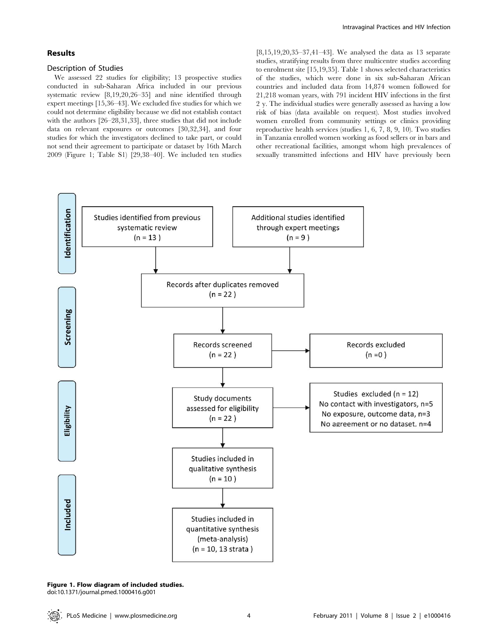## Results

## Description of Studies

We assessed 22 studies for eligibility; 13 prospective studies conducted in sub-Saharan Africa included in our previous systematic review [8,19,20,26–35] and nine identified through expert meetings [15,36–43]. We excluded five studies for which we could not determine eligibility because we did not establish contact with the authors [26–28,31,33], three studies that did not include data on relevant exposures or outcomes [30,32,34], and four studies for which the investigators declined to take part, or could not send their agreement to participate or dataset by 16th March 2009 (Figure 1; Table S1) [29,38–40]. We included ten studies [8,15,19,20,35–37,41–43]. We analysed the data as 13 separate studies, stratifying results from three multicentre studies according to enrolment site [15,19,35]. Table 1 shows selected characteristics of the studies, which were done in six sub-Saharan African countries and included data from 14,874 women followed for 21,218 woman years, with 791 incident HIV infections in the first 2 y. The individual studies were generally assessed as having a low risk of bias (data available on request). Most studies involved women enrolled from community settings or clinics providing reproductive health services (studies 1, 6, 7, 8, 9, 10). Two studies in Tanzania enrolled women working as food sellers or in bars and other recreational facilities, amongst whom high prevalences of sexually transmitted infections and HIV have previously been



Figure 1. Flow diagram of included studies. doi:10.1371/journal.pmed.1000416.g001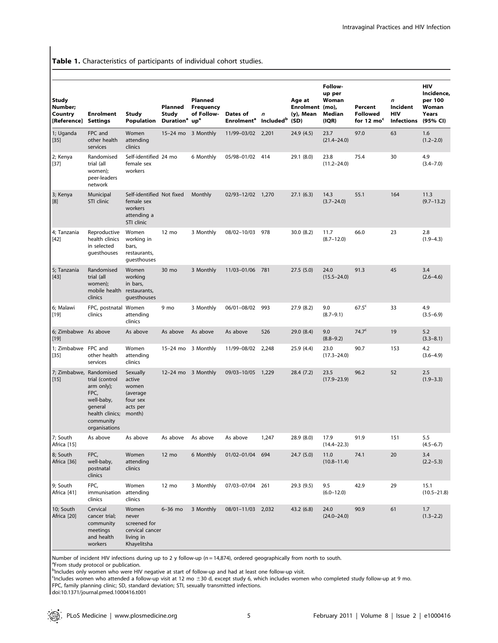Table 1. Characteristics of participants of individual cohort studies.

| Study<br>Number;<br>Country<br>[Reference] | <b>Enrolment</b><br><b>Settings</b>                                                                            | Study<br>Population                                                             | Planned<br><b>Study</b><br>Duration <sup>a</sup> up <sup>a</sup> | Planned<br><b>Frequency</b><br>of Follow- | Dates of<br><b>Enrolment<sup>a</sup></b> | n<br><b>Included</b> <sup>b</sup> | Age at<br>Enrolment (mo),<br>(y), Mean<br>(SD) | Follow-<br>up per<br>Woman<br>Median<br>(IQR) | Percent<br><b>Followed</b><br>for 12 mo <sup>c</sup> | n<br>Incident<br>HIV<br><b>Infections</b> | HIV<br>Incidence,<br>per 100<br>Woman<br>Years<br>(95% CI) |
|--------------------------------------------|----------------------------------------------------------------------------------------------------------------|---------------------------------------------------------------------------------|------------------------------------------------------------------|-------------------------------------------|------------------------------------------|-----------------------------------|------------------------------------------------|-----------------------------------------------|------------------------------------------------------|-------------------------------------------|------------------------------------------------------------|
| 1; Uganda<br>$[35]$                        | FPC and<br>other health<br>services                                                                            | Women<br>attending<br>clinics                                                   | $15-24$ mo 3 Monthly                                             |                                           | 11/99-03/02                              | 2,201                             | 24.9 (4.5)                                     | 23.7<br>$(21.4 - 24.0)$                       | 97.0                                                 | 63                                        | 1.6<br>$(1.2 - 2.0)$                                       |
| 2; Kenya<br>$[37]$                         | Randomised<br>trial (all<br>women);<br>peer-leaders<br>network                                                 | Self-identified 24 mo<br>female sex<br>workers                                  |                                                                  | 6 Monthly                                 | 05/98-01/02                              | 414                               | 29.1 (8.0)                                     | 23.8<br>$(11.2 - 24.0)$                       | 75.4                                                 | 30                                        | 4.9<br>$(3.4 - 7.0)$                                       |
| 3; Kenya<br>[8]                            | Municipal<br>STI clinic                                                                                        | Self-identified Not fixed<br>female sex<br>workers<br>attending a<br>STI clinic |                                                                  | Monthly                                   | 02/93-12/02                              | 1,270                             | 27.1(6.3)                                      | 14.3<br>$(3.7 - 24.0)$                        | 55.1                                                 | 164                                       | 11.3<br>$(9.7 - 13.2)$                                     |
| 4; Tanzania<br>$[42]$                      | Reproductive<br>health clinics<br>in selected<br>guesthouses                                                   | Women<br>working in<br>bars,<br>restaurants,<br>guesthouses                     | 12 mo                                                            | 3 Monthly                                 | 08/02-10/03                              | 978                               | 30.0(8.2)                                      | 11.7<br>$(8.7 - 12.0)$                        | 66.0                                                 | 23                                        | 2.8<br>$(1.9 - 4.3)$                                       |
| 5; Tanzania<br>$[43]$                      | Randomised<br>trial (all<br>women);<br>mobile health restaurants,<br>clinics                                   | Women<br>working<br>in bars,<br>guesthouses                                     | 30 mo                                                            | 3 Monthly                                 | 11/03-01/06                              | -781                              | 27.5(5.0)                                      | 24.0<br>$(15.5 - 24.0)$                       | 91.3                                                 | 45                                        | 3.4<br>$(2.6 - 4.6)$                                       |
| 6; Malawi<br>[19]                          | FPC, postnatal Women<br>clinics                                                                                | attending<br>clinics                                                            | 9 mo                                                             | 3 Monthly                                 | 06/01-08/02                              | 993                               | 27.9 (8.2)                                     | 9.0<br>$(8.7 - 9.1)$                          | $67.5^{\circ}$                                       | 33                                        | 4.9<br>$(3.5 - 6.9)$                                       |
| 6; Zimbabwe As above<br>[19]               |                                                                                                                | As above                                                                        | As above                                                         | As above                                  | As above                                 | 526                               | 29.0 (8.4)                                     | 9.0<br>$(8.8 - 9.2)$                          | 74.7 <sup>c</sup>                                    | 19                                        | 5.2<br>$(3.3 - 8.1)$                                       |
| 1; Zimbabwe FPC and<br>$[35]$              | other health<br>services                                                                                       | Women<br>attending<br>clinics                                                   | 15-24 mo 3 Monthly                                               |                                           | 11/99-08/02                              | 2,248                             | 25.9 (4.4)                                     | 23.0<br>$(17.3 - 24.0)$                       | 90.7                                                 | 153                                       | 4.2<br>$(3.6 - 4.9)$                                       |
| 7; Zimbabwe, Randomised<br>$[15]$          | trial (control<br>arm only);<br>FPC,<br>well-baby,<br>general<br>health clinics;<br>community<br>organisations | Sexually<br>active<br>women<br>(average<br>four sex<br>acts per<br>month)       | 12-24 mo 3 Monthly                                               |                                           | 09/03-10/05                              | 1,229                             | 28.4 (7.2)                                     | 23.5<br>$(17.9 - 23.9)$                       | 96.2                                                 | 52                                        | 2.5<br>$(1.9 - 3.3)$                                       |
| 7; South<br>Africa [15]                    | As above                                                                                                       | As above                                                                        | As above                                                         | As above                                  | As above                                 | 1,247                             | 28.9 (8.0)                                     | 17.9<br>$(14.4 - 22.3)$                       | 91.9                                                 | 151                                       | 5.5<br>$(4.5 - 6.7)$                                       |
| 8; South<br>Africa [36]                    | FPC,<br>well-baby,<br>postnatal<br>clinics                                                                     | Women<br>attending<br>clinics                                                   | 12 mo                                                            | 6 Monthly                                 | 01/02-01/04                              | 694                               | 24.7 (5.0)                                     | 11.0<br>$(10.8 - 11.4)$                       | 74.1                                                 | 20                                        | 3.4<br>$(2.2 - 5.3)$                                       |
| 9; South<br>Africa [41]                    | FPC,<br>immunisation<br>clinics                                                                                | Women<br>attending<br>clinics                                                   | 12 mo                                                            | 3 Monthly                                 | 07/03-07/04                              | 261                               | 29.3 (9.5)                                     | 9.5<br>$(6.0 - 12.0)$                         | 42.9                                                 | 29                                        | 15.1<br>$(10.5 - 21.8)$                                    |
| 10; South<br>Africa [20]                   | Cervical<br>cancer trial;<br>community<br>meetings<br>and health<br>workers                                    | Women<br>never<br>screened for<br>cervical cancer<br>living in<br>Khayelitsha   | $6-36$ mo                                                        | 3 Monthly                                 | 08/01-11/03 2,032                        |                                   | 43.2 (6.8)                                     | 24.0<br>$(24.0 - 24.0)$                       | 90.9                                                 | 61                                        | 1.7<br>$(1.3 - 2.2)$                                       |

Number of incident HIV infections during up to 2 y follow-up (n=14,874), ordered geographically from north to south.<br><sup>a</sup>From study protocol or publication.<br><sup>b</sup>Includes only women who were HIV negative at start of follow-up

 $^{\text{c}}$ Includes women who attended a follow-up visit at 12 mo  $\pm 30$  d, except study 6, which includes women who completed study follow-up at 9 mo. FPC, family planning clinic; SD, standard deviation; STI, sexually transmitted infections.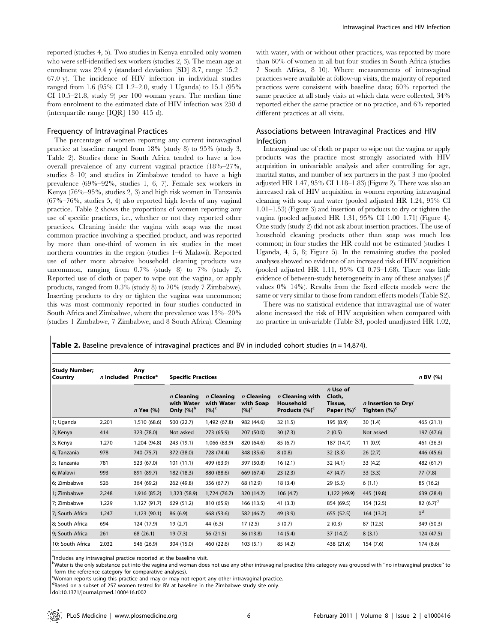reported (studies 4, 5). Two studies in Kenya enrolled only women who were self-identified sex workers (studies 2, 3). The mean age at enrolment was 29.4 y (standard deviation [SD] 8.7, range 15.2– 67.0 y). The incidence of HIV infection in individual studies ranged from 1.6 (95% CI 1.2–2.0, study 1 Uganda) to 15.1 (95% CI 10.5–21.8, study 9) per 100 woman years. The median time from enrolment to the estimated date of HIV infection was 250 d (interquartile range [IQR] 130–415 d).

## Frequency of Intravaginal Practices

The percentage of women reporting any current intravaginal practice at baseline ranged from 18% (study 8) to 95% (study 3, Table 2). Studies done in South Africa tended to have a low overall prevalence of any current vaginal practice (18%–27%, studies 8–10) and studies in Zimbabwe tended to have a high prevalence (69%–92%, studies 1, 6, 7). Female sex workers in Kenya (76%–95%, studies 2, 3) and high risk women in Tanzania  $(67\%-76\%)$ , studies 5, 4) also reported high levels of any vaginal practice. Table 2 shows the proportions of women reporting any use of specific practices, i.e., whether or not they reported other practices. Cleaning inside the vagina with soap was the most common practice involving a specified product, and was reported by more than one-third of women in six studies in the most northern countries in the region (studies 1–6 Malawi). Reported use of other more abrasive household cleaning products was uncommon, ranging from 0.7% (study 8) to 7% (study 2). Reported use of cloth or paper to wipe out the vagina, or apply products, ranged from 0.3% (study 8) to 70% (study 7 Zimbabwe). Inserting products to dry or tighten the vagina was uncommon; this was most commonly reported in four studies conducted in South Africa and Zimbabwe, where the prevalence was 13%–20% (studies 1 Zimbabwe, 7 Zimbabwe, and 8 South Africa). Cleaning

with water, with or without other practices, was reported by more than 60% of women in all but four studies in South Africa (studies 7 South Africa, 8–10). Where measurements of intravaginal practices were available at follow-up visits, the majority of reported practices were consistent with baseline data; 60% reported the same practice at all study visits at which data were collected, 34% reported either the same practice or no practice, and 6% reported different practices at all visits.

## Associations between Intravaginal Practices and HIV Infection

Intravaginal use of cloth or paper to wipe out the vagina or apply products was the practice most strongly associated with HIV acquisition in univariable analysis and after controlling for age, marital status, and number of sex partners in the past 3 mo (pooled adjusted HR 1.47, 95% CI 1.18–1.83) (Figure 2). There was also an increased risk of HIV acquisition in women reporting intravaginal cleaning with soap and water (pooled adjusted HR 1.24, 95% CI 1.01–1.53) (Figure 3) and insertion of products to dry or tighten the vagina (pooled adjusted HR 1.31, 95% CI 1.00–1.71) (Figure 4). One study (study 2) did not ask about insertion practices. The use of household cleaning products other than soap was much less common; in four studies the HR could not be estimated (studies 1 Uganda, 4, 5, 8; Figure 5). In the remaining studies the pooled analyses showed no evidence of an increased risk of HIV acquisition (pooled adjusted HR 1.11, 95% CI 0.73–1.68). There was little evidence of between-study heterogeneity in any of these analyses  $(I^2)$ values 0%–14%). Results from the fixed effects models were the same or very similar to those from random effects models (Table S2).

There was no statistical evidence that intravaginal use of water alone increased the risk of HIV acquisition when compared with no practice in univariable (Table S3, pooled unadjusted HR 1.02,

Table 2. Baseline prevalence of intravaginal practices and BV in included cohort studies ( $n = 14,874$ ).

| <b>Study Number;</b><br><b>Country</b> | $n$ Included | Any<br><b>Practice<sup>a</sup></b> | <b>Specific Practices</b>                 |                                     |                                     |                                                           |                                                 |                                                 |                |  |
|----------------------------------------|--------------|------------------------------------|-------------------------------------------|-------------------------------------|-------------------------------------|-----------------------------------------------------------|-------------------------------------------------|-------------------------------------------------|----------------|--|
|                                        |              | n Yes (%)                          | n Cleaning<br>with Water<br>Only $(\%)^b$ | n Cleaning<br>with Water<br>$(%)^c$ | n Cleaning<br>with Soap<br>$(\%)^c$ | n Cleaning with<br>Household<br>Products (%) <sup>c</sup> | n Use of<br>Cloth,<br>Tissue,<br>Paper $(\%)^c$ | n Insertion to Dry/<br>Tighten (%) <sup>c</sup> |                |  |
| 1; Uganda                              | 2,201        | 1,510 (68.6)                       | 500 (22.7)                                | 1,492 (67.8)                        | 982 (44.6)                          | 32(1.5)                                                   | 195 (8.9)                                       | 30(1.4)                                         | 465 (21.1)     |  |
| 2; Kenya                               | 414          | 323 (78.0)                         | Not asked                                 | 273 (65.9)                          | 207 (50.0)                          | 30(7.3)                                                   | 2(0.5)                                          | Not asked                                       | 197 (47.6)     |  |
| 3; Kenya                               | 1,270        | 1,204 (94.8)                       | 243 (19.1)                                | 1,066 (83.9)                        | 820 (64.6)                          | 85 (6.7)                                                  | 187 (14.7)                                      | 11(0.9)                                         | 461 (36.3)     |  |
| 4; Tanzania                            | 978          | 740 (75.7)                         | 372 (38.0)                                | 728 (74.4)                          | 348 (35.6)                          | 8(0.8)                                                    | 32(3.3)                                         | 26(2.7)                                         | 446 (45.6)     |  |
| 5; Tanzania                            | 781          | 523 (67.0)                         | 101(11.1)                                 | 499 (63.9)                          | 397 (50.8)                          | 16(2.1)                                                   | 32(4.1)                                         | 33 (4.2)                                        | 482 (61.7)     |  |
| 6; Malawi                              | 993          | 891 (89.7)                         | 182 (18.3)                                | 880 (88.6)                          | 669 (67.4)                          | 23(2.3)                                                   | 47 (4.7)                                        | 33(3.3)                                         | 77(7.8)        |  |
| 6; Zimbabwe                            | 526          | 364 (69.2)                         | 262 (49.8)                                | 356 (67.7)                          | 68 (12.9)                           | 18(3.4)                                                   | 29 (5.5)                                        | 6(1.1)                                          | 85 (16.2)      |  |
| 1; Zimbabwe                            | 2,248        | 1,916 (85.2)                       | 1,323 (58.9)                              | 1,724 (76.7)                        | 320 (14.2)                          | 106(4.7)                                                  | 1,122 (49.9)                                    | 445 (19.8)                                      | 639 (28.4)     |  |
| 7; Zimbabwe                            | 1,229        | 1,127 (91.7)                       | 629 (51.2)                                | 810 (65.9)                          | 166 (13.5)                          | 41(3.3)                                                   | 854 (69.5)                                      | 154 (12.5)                                      | 82 $(6.7)^d$   |  |
| 7; South Africa                        | 1,247        | 1,123 (90.1)                       | 86(6.9)                                   | 668 (53.6)                          | 582 (46.7)                          | 49 (3.9)                                                  | 655 (52.5)                                      | 164 (13.2)                                      | 0 <sup>d</sup> |  |
| 8; South Africa                        | 694          | 124 (17.9)                         | 19(2.7)                                   | 44 (6.3)                            | 17(2.5)                             | 5(0.7)                                                    | 2(0.3)                                          | 87 (12.5)                                       | 349 (50.3)     |  |
| 9; South Africa                        | 261          | 68 (26.1)                          | 19(7.3)                                   | 56 (21.5)                           | 36 (13.8)                           | 14(5.4)                                                   | 37 (14.2)                                       | 8(3.1)                                          | 124 (47.5)     |  |
| 10; South Africa                       | 2,032        | 546 (26.9)                         | 304 (15.0)                                | 460 (22.6)                          | 103(5.1)                            | 85 (4.2)                                                  | 438 (21.6)                                      | 154 (7.6)                                       | 174 (8.6)      |  |

<sup>a</sup>Includes any intravaginal practice reported at the baseline visit.

bWater is the only substance put into the vagina and woman does not use any other intravaginal practice (this category was grouped with "no intravaginal practice" to form the reference category for comparative analyses).

Woman reports using this practice and may or may not report any other intravaginal practice.

<sup>d</sup>Based on a subset of 257 women tested for BV at baseline in the Zimbabwe study site only.

doi:10.1371/journal.pmed.1000416.t002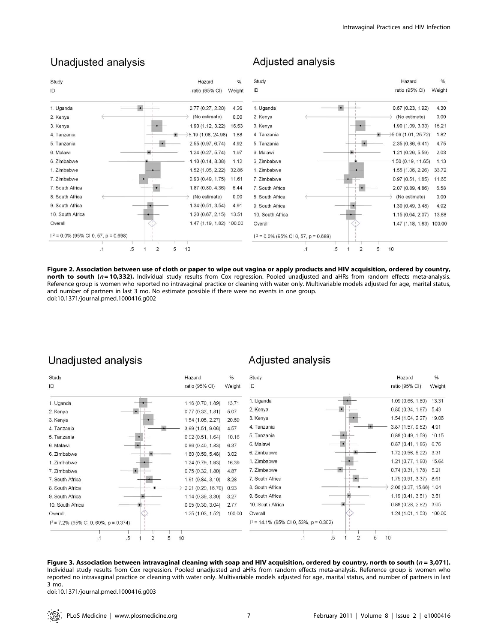## Unadjusted analysis

## Adjusted analysis



Figure 2. Association between use of cloth or paper to wipe out vagina or apply products and HIV acquisition, ordered by country, north to south (n=10,332). Individual study results from Cox regression. Pooled unadjusted and aHRs from random effects meta-analysis. Reference group is women who reported no intravaginal practice or cleaning with water only. Multivariable models adjusted for age, marital status, and number of partners in last 3 mo. No estimate possible if there were no events in one group. doi:10.1371/journal.pmed.1000416.g002

#### Study Hazard  $\frac{9}{6}$ Study Hazard  $\frac{9}{6}$ ID ratio (95% CI) Weight ID ratio (95% CI) Weight 1.09 (0.66, 1.80) 13.31 1. Uganda 1. Uganda 1.16 (0.70, 1.89) 13.71 2. Kenya  $0.80(0.34, 1.87)$  5.43 2. Kenya  $0.77(0.33, 1.81)$ 5.07 3. Kenya 1.54 (1.04, 2.27) 19.06 3. Kenya 1.54 (1.05, 2.27) 20.59 4. Tanzania 3.87 (1.57, 9.52) 4.91 4. Tanzania 3.69 (1.51, 9.06) 4.57 5. Tanzania 0.88 (0.49, 1.59) 10.15 5. Tanzania  $0.92(0.51, 1.64)$ 10.16 6. Malawi 0.87 (0.41, 1.86) 6.76 6. Malawi  $0.86(0.40, 1.83)$ 6.37 6. Zimbabwe 1.72 (0.56, 5.22) 3.31 6. Zimbabwe 1.80 (0.59, 5.48)  $3.02$ 1. Zimbabwe 1.21 (0.77, 1.90) 15.64 1. Zimbabwe 1.24 (0.79, 1.93) 16.39 7. Zimbabwe  $0.74(0.31, 1.78)$  5.21 7. Zimbabwe 0.75 (0.32, 1.80) 4.87 7. South Africa 1.75 (0.91, 3.37) 8.61 7. South Africa 1.61 (0.84, 3.10) 8.28 8. South Africa 2.06 (0.27, 15.66) 1.04 8. South Africa 2.21 (0.29, 16.70) 0.93 9. South Africa 1.19 (0.41, 3.51) 3.51 9 South Africa 1.14 (0.39, 3.30)  $3.27$ 10. South Africa 0.88 (0.28, 2.82) 3.05 10 South Africa  $0.95(0.30, 3.04)$ 2.77 1.25 (1.03, 1.52) 1.24 (1.01, 1.53) 100.00 Overall 100.00 Overall  $1^2$  = 7.2% (95% CI 0, 60%, p = 0.374)  $1^2$  = 14.1% (95% CI 0, 53%, p = 0.302) .5  $\overline{2}$  $10$  $\cdot$ 1 .5  $\overline{1}$  $\overline{2}$ 5 10  $\mathbf{1}$ 5

Unadjusted analysis

## Adjusted analysis

Figure 3. Association between intravaginal cleaning with soap and HIV acquisition, ordered by country, north to south ( $n = 3,071$ ). Individual study results from Cox regression. Pooled unadjusted and aHRs from random effects meta-analysis. Reference group is women who reported no intravaginal practice or cleaning with water only. Multivariable models adjusted for age, marital status, and number of partners in last 3 mo.

doi:10.1371/journal.pmed.1000416.g003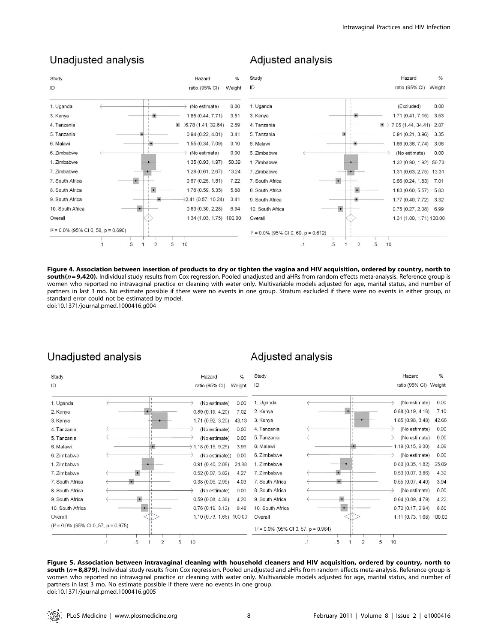## Unadjusted analysis

## Adjusted analysis



Figure 4. Association between insertion of products to dry or tighten the vagina and HIV acquisition, ordered by country, north to south(n=9,420). Individual study results from Cox regression. Pooled unadjusted and aHRs from random effects meta-analysis. Reference group is women who reported no intravaginal practice or cleaning with water only. Multivariable models adjusted for age, marital status, and number of partners in last 3 mo. No estimate possible if there were no events in one group. Stratum excluded if there were no events in either group, or standard error could not be estimated by model.

doi:10.1371/journal.pmed.1000416.g004

## Unadjusted analysis

## Adjusted analysis



Figure 5. Association between intravaginal cleaning with household cleaners and HIV acquisition, ordered by country, north to south (n=8,879). Individual study results from Cox regression. Pooled unadjusted and aHRs from random effects meta-analysis. Reference group is women who reported no intravaginal practice or cleaning with water only. Multivariable models adjusted for age, marital status, and number of partners in last 3 mo. No estimate possible if there were no events in one group. doi:10.1371/journal.pmed.1000416.g005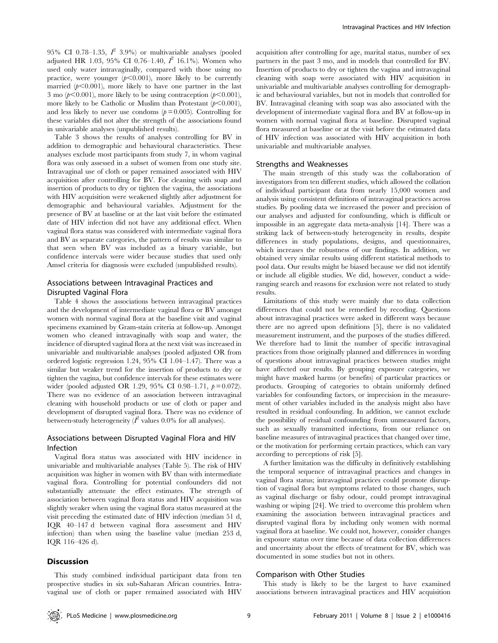95% CI 0.78-1.35,  $\vec{I}$  3.9%) or multivariable analyses (pooled adjusted HR 1.03, 95% CI 0.76-1.40,  $I^2$  16.1%). Women who used only water intravaginally, compared with those using no practice, were younger  $(p<0.001)$ , more likely to be currently married  $(p<0.001)$ , more likely to have one partner in the last 3 mo ( $p<0.001$ ), more likely to be using contraception ( $p<0.001$ ), more likely to be Catholic or Muslim than Protestant  $(b<0.001)$ , and less likely to never use condoms  $(p=0.005)$ . Controlling for these variables did not alter the strength of the associations found in univariable analyses (unpublished results).

Table 3 shows the results of analyses controlling for BV in addition to demographic and behavioural characteristics. These analyses exclude most participants from study 7, in whom vaginal flora was only assessed in a subset of women from one study site. Intravaginal use of cloth or paper remained associated with HIV acquisition after controlling for BV. For cleaning with soap and insertion of products to dry or tighten the vagina, the associations with HIV acquisition were weakened slightly after adjustment for demographic and behavioural variables. Adjustment for the presence of BV at baseline or at the last visit before the estimated date of HIV infection did not have any additional effect. When vaginal flora status was considered with intermediate vaginal flora and BV as separate categories, the pattern of results was similar to that seen when BV was included as a binary variable, but confidence intervals were wider because studies that used only Amsel criteria for diagnosis were excluded (unpublished results).

## Associations between Intravaginal Practices and Disrupted Vaginal Flora

Table 4 shows the associations between intravaginal practices and the development of intermediate vaginal flora or BV amongst women with normal vaginal flora at the baseline visit and vaginal specimens examined by Gram-stain criteria at follow-up. Amongst women who cleaned intravaginally with soap and water, the incidence of disrupted vaginal flora at the next visit was increased in univariable and multivariable analyses (pooled adjusted OR from ordered logistic regression 1.24, 95% CI 1.04–1.47). There was a similar but weaker trend for the insertion of products to dry or tighten the vagina, but confidence intervals for these estimates were wider (pooled adjusted OR 1.29, 95% CI 0.98–1.71,  $p = 0.072$ ). There was no evidence of an association between intravaginal cleaning with household products or use of cloth or paper and development of disrupted vaginal flora. There was no evidence of between-study heterogeneity  $(I^2$  values 0.0% for all analyses).

## Associations between Disrupted Vaginal Flora and HIV Infection

Vaginal flora status was associated with HIV incidence in univariable and multivariable analyses (Table 5). The risk of HIV acquisition was higher in women with BV than with intermediate vaginal flora. Controlling for potential confounders did not substantially attenuate the effect estimates. The strength of association between vaginal flora status and HIV acquisition was slightly weaker when using the vaginal flora status measured at the visit preceding the estimated date of HIV infection (median 51 d, IQR 40–147 d between vaginal flora assessment and HIV infection) than when using the baseline value (median 253 d, IQR 116–426 d).

## Discussion

acquisition after controlling for age, marital status, number of sex partners in the past 3 mo, and in models that controlled for BV. Insertion of products to dry or tighten the vagina and intravaginal cleaning with soap were associated with HIV acquisition in univariable and multivariable analyses controlling for demographic and behavioural variables, but not in models that controlled for BV. Intravaginal cleaning with soap was also associated with the development of intermediate vaginal flora and BV at follow-up in women with normal vaginal flora at baseline. Disrupted vaginal flora measured at baseline or at the visit before the estimated data of HIV infection was associated with HIV acquisition in both univariable and multivariable analyses.

## Strengths and Weaknesses

The main strength of this study was the collaboration of investigators from ten different studies, which allowed the collation of individual participant data from nearly 15,000 women and analysis using consistent definitions of intravaginal practices across studies. By pooling data we increased the power and precision of our analyses and adjusted for confounding, which is difficult or impossible in an aggregate data meta-analysis [14]. There was a striking lack of between-study heterogeneity in results, despite differences in study populations, designs, and questionnaires, which increases the robustness of our findings. In addition, we obtained very similar results using different statistical methods to pool data. Our results might be biased because we did not identify or include all eligible studies. We did, however, conduct a wideranging search and reasons for exclusion were not related to study results.

Limitations of this study were mainly due to data collection differences that could not be remedied by recoding. Questions about intravaginal practices were asked in different ways because there are no agreed upon definitions [5], there is no validated measurement instrument, and the purposes of the studies differed. We therefore had to limit the number of specific intravaginal practices from those originally planned and differences in wording of questions about intravaginal practices between studies might have affected our results. By grouping exposure categories, we might have masked harms (or benefits) of particular practices or products. Grouping of categories to obtain uniformly defined variables for confounding factors, or imprecision in the measurement of other variables included in the analysis might also have resulted in residual confounding. In addition, we cannot exclude the possibility of residual confounding from unmeasured factors, such as sexually transmitted infections, from our reliance on baseline measures of intravaginal practices that changed over time, or the motivation for performing certain practices, which can vary according to perceptions of risk [5].

A further limitation was the difficulty in definitively establishing the temporal sequence of intravaginal practices and changes in vaginal flora status; intravaginal practices could promote disruption of vaginal flora but symptoms related to those changes, such as vaginal discharge or fishy odour, could prompt intravaginal washing or wiping [24]. We tried to overcome this problem when examining the association between intravaginal practices and disrupted vaginal flora by including only women with normal vaginal flora at baseline. We could not, however, consider changes in exposure status over time because of data collection differences and uncertainty about the effects of treatment for BV, which was documented in some studies but not in others.

## Comparison with Other Studies

This study is likely to be the largest to have examined associations between intravaginal practices and HIV acquisition

This study combined individual participant data from ten prospective studies in six sub-Saharan African countries. Intravaginal use of cloth or paper remained associated with HIV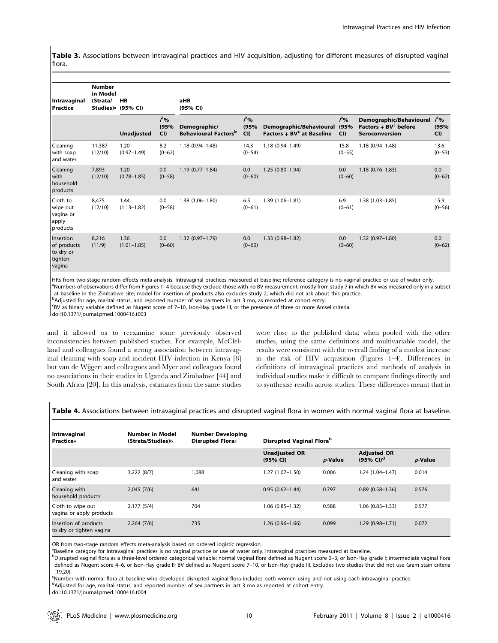Table 3. Associations between intravaginal practices and HIV acquisition, adjusting for different measures of disrupted vaginal flora.

| Intravaginal<br>Practice                                   | <b>Number</b><br>in Model<br>(Strata/ | <b>HR</b><br>Studies)a (95% CI) |                     | aHR<br>(95% CI)                                         |                     |                                                                        |                               |                                                                               |                     |  |
|------------------------------------------------------------|---------------------------------------|---------------------------------|---------------------|---------------------------------------------------------|---------------------|------------------------------------------------------------------------|-------------------------------|-------------------------------------------------------------------------------|---------------------|--|
|                                                            |                                       | <b>Unadjusted</b>               | $P\%$<br>(95%<br>CI | Demographic/<br><b>Behavioural Factors</b> <sup>b</sup> | $P\%$<br>(95%<br>CI | Demographic/Behavioural<br><b>Factors + BV<sup>c</sup> at Baseline</b> | P <sub>96</sub><br>(95%<br>CI | Demographic/Behavioural<br>Factors + $BV^{\ddagger}$ before<br>Seroconversion | $P\%$<br>(95%<br>CI |  |
| Cleaning<br>with soap<br>and water                         | 11,387<br>(12/10)                     | 1.20<br>$(0.97 - 1.49)$         | 8.2<br>$(0 - 62)$   | $1.18(0.94 - 1.48)$                                     | 14.3<br>$(0 - 54)$  | $1.18(0.94 - 1.49)$                                                    | 15.8<br>$(0 - 55)$            | $1.18(0.94 - 1.48)$                                                           | 13.6<br>$(0 - 53)$  |  |
| Cleaning<br>with<br>household<br>products                  | 7,893<br>(12/10)                      | 1.20<br>$(0.78 - 1.85)$         | 0.0<br>$(0 - 58)$   | $1.19(0.77 - 1.84)$                                     | 0.0<br>$(0 - 60)$   | $1.25(0.80-1.94)$                                                      | 0.0<br>$(0 - 60)$             | $1.18(0.76 - 1.83)$                                                           | 0.0<br>$(0 - 62)$   |  |
| Cloth to<br>wipe out<br>vagina or<br>apply<br>products     | 8.475<br>(12/10)                      | 1.44<br>$(1.13 - 1.82)$         | 0.0<br>$(0 - 58)$   | $1.38(1.06 - 1.80)$                                     | 6.5<br>$(0 - 61)$   | 1.39 (1.06-1.81)                                                       | 6.9<br>$(0 - 61)$             | $1.38(1.03 - 1.85)$                                                           | 15.9<br>$(0 - 56)$  |  |
| Insertion<br>of products<br>to dry or<br>tighten<br>vagina | 8,216<br>(11/9)                       | 1.36<br>$(1.01 - 1.85)$         | 0.0<br>$(0 - 60)$   | $1.32(0.97 - 1.79)$                                     | 0.0<br>$(0 - 60)$   | $1.33(0.98 - 1.82)$                                                    | 0.0<br>$(0 - 60)$             | $1.32(0.97 - 1.80)$                                                           | 0.0<br>$(0 - 62)$   |  |

HRs from two-stage random effects meta-analysis. Intravaginal practices measured at baseline; reference category is no vaginal practice or use of water only. Numbers of observations differ from Figures 1–4 because they exclude those with no BV measurement, mostly from study 7 in which BV was measured only in a subset

at baseline in the Zimbabwe site; model for insertion of products also excludes study 2, which did not ask about this practice.

<sup>b</sup>Adjusted for age, marital status, and reported number of sex partners in last 3 mo, as recorded at cohort entry.

c BV as binary variable defined as Nugent score of 7–10, Ison-Hay grade III, or the presence of three or more Amsel criteria.

doi:10.1371/journal.pmed.1000416.t003

and it allowed us to reexamine some previously observed inconsistencies between published studies. For example, McClelland and colleagues found a strong association between intravaginal cleaning with soap and incident HIV infection in Kenya [8] but van de Wijgert and colleagues and Myer and colleagues found no associations in their studies in Uganda and Zimbabwe [44] and South Africa [20]. In this analysis, estimates from the same studies

were close to the published data; when pooled with the other studies, using the same definitions and multivariable model, the results were consistent with the overall finding of a modest increase in the risk of HIV acquisition (Figures 1–4). Differences in definitions of intravaginal practices and methods of analysis in individual studies make it difficult to compare findings directly and to synthesise results across studies. These differences meant that in

| Intravaginal<br>Practicea                         | <b>Number in Model</b><br>(Strata/Studies)ь | <b>Number Developing</b><br>Disrupted Florac | Disrupted Vaginal Flora <sup>b</sup> |            |                                                |            |  |
|---------------------------------------------------|---------------------------------------------|----------------------------------------------|--------------------------------------|------------|------------------------------------------------|------------|--|
|                                                   |                                             |                                              | <b>Unadjusted OR</b><br>(95% CI)     | $p$ -Value | <b>Adjusted OR</b><br>$(95\%$ CI) <sup>d</sup> | $p$ -Value |  |
| Cleaning with soap<br>and water                   | 3,222(8/7)                                  | 1.088                                        | $1.27(1.07-1.50)$                    | 0.006      | $1.24(1.04-1.47)$                              | 0.014      |  |
| Cleaning with<br>household products               | 2.045(7/6)                                  | 641                                          | $0.95(0.62 - 1.44)$                  | 0.797      | $0.89(0.58 - 1.36)$                            | 0.576      |  |
| Cloth to wipe out<br>vagina or apply products     | 2,177 (5/4)                                 | 704                                          | $1.06(0.85 - 1.32)$                  | 0.588      | $1.06(0.85 - 1.33)$                            | 0.577      |  |
| Insertion of products<br>to dry or tighten vagina | 2.264(7/6)                                  | 735                                          | $1.26(0.96-1.66)$                    | 0.099      | $1.29(0.98-1.71)$                              | 0.072      |  |

OR from two-stage random effects meta-analysis based on ordered logistic regression.

<sup>a</sup>Baseline category for intravaginal practices is no vaginal practice or use of water only. Intravaginal practices measured at baseline.

bDisrupted vaginal flora as a three-level ordered categorical variable: normal vaginal flora defined as Nugent score 0–3, or Ison-Hay grade I; intermediate vaginal flora defined as Nugent score 4–6, or Ison-Hay grade II; BV defined as Nugent score 7–10, or Ison-Hay grade III. Excludes two studies that did not use Gram stain criteria

[19,20]. c Number with normal flora at baseline who developed disrupted vaginal flora includes both women using and not using each intravaginal practice.

<sup>d</sup>Adjusted for age, marital status, and reported number of sex partners in last 3 mo as reported at cohort entry.

doi:10.1371/journal.pmed.1000416.t004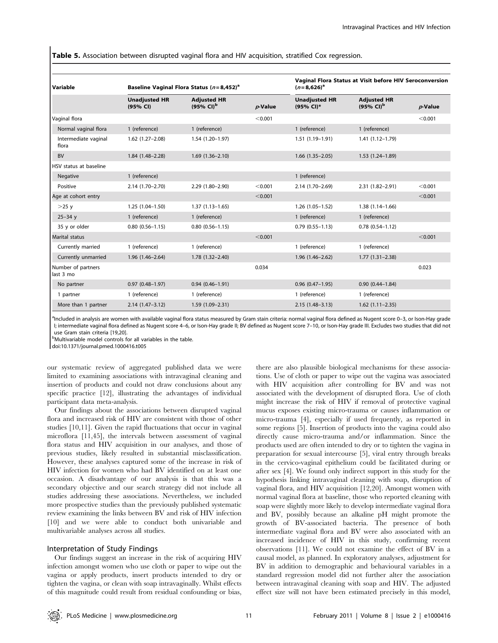Table 5. Association between disrupted vaginal flora and HIV acquisition, stratified Cox regression.

| l Variable                      |                                  | Baseline Vaginal Flora Status ( $n = 8.452$ ) <sup>a</sup> |            | Vaginal Flora Status at Visit before HIV Seroconversion<br>$(n=8,626)^a$ |                                                      |            |  |
|---------------------------------|----------------------------------|------------------------------------------------------------|------------|--------------------------------------------------------------------------|------------------------------------------------------|------------|--|
|                                 | <b>Unadjusted HR</b><br>(95% CI) | <b>Adjusted HR</b><br>$(95\% \text{ Cl})^{\text{b}}$       | $p$ -Value | <b>Unadjusted HR</b><br>(95% CI)*                                        | <b>Adjusted HR</b><br>$(95\% \text{ Cl})^{\text{b}}$ | $p$ -Value |  |
| Vaginal flora                   |                                  |                                                            | < 0.001    |                                                                          |                                                      | < 0.001    |  |
| Normal vaginal flora            | 1 (reference)                    | 1 (reference)                                              |            | 1 (reference)                                                            | 1 (reference)                                        |            |  |
| Intermediate vaginal<br>flora   | $1.62$ $(1.27-2.08)$             | $1.54(1.20-1.97)$                                          |            | $1.51(1.19-1.91)$                                                        | $1.41(1.12 - 1.79)$                                  |            |  |
| <b>BV</b>                       | $1.84(1.48-2.28)$                | $1.69(1.36 - 2.10)$                                        |            | $1.66(1.35-2.05)$                                                        | $1.53(1.24 - 1.89)$                                  |            |  |
| HSV status at baseline          |                                  |                                                            |            |                                                                          |                                                      |            |  |
| Negative                        | 1 (reference)                    |                                                            |            | 1 (reference)                                                            |                                                      |            |  |
| Positive                        | $2.14(1.70 - 2.70)$              | 2.29 (1.80-2.90)                                           | < 0.001    | $2.14(1.70 - 2.69)$                                                      | 2.31 (1.82-2.91)                                     | < 0.001    |  |
| Age at cohort entry             |                                  |                                                            | < 0.001    |                                                                          |                                                      | < 0.001    |  |
| $>25$ y                         | $1.25(1.04-1.50)$                | $1.37(1.13 - 1.65)$                                        |            | $1.26(1.05-1.52)$                                                        | $1.38(1.14 - 1.66)$                                  |            |  |
| $25 - 34y$                      | 1 (reference)                    | 1 (reference)                                              |            | 1 (reference)                                                            | 1 (reference)                                        |            |  |
| 35 y or older                   | $0.80(0.56 - 1.15)$              | $0.80(0.56 - 1.15)$                                        |            | $0.79(0.55 - 1.13)$                                                      | $0.78(0.54 - 1.12)$                                  |            |  |
| Marital status                  |                                  |                                                            | < 0.001    |                                                                          |                                                      | < 0.001    |  |
| Currently married               | 1 (reference)                    | 1 (reference)                                              |            | 1 (reference)                                                            | 1 (reference)                                        |            |  |
| Currently unmarried             | $1.96(1.46 - 2.64)$              | $1.78(1.32 - 2.40)$                                        |            | $1.96(1.46 - 2.62)$                                                      | $1.77(1.31 - 2.38)$                                  |            |  |
| Number of partners<br>last 3 mo |                                  |                                                            | 0.034      |                                                                          |                                                      | 0.023      |  |
| No partner                      | $0.97(0.48 - 1.97)$              | $0.94(0.46 - 1.91)$                                        |            | $0.96(0.47-1.95)$                                                        | $0.90(0.44 - 1.84)$                                  |            |  |
| 1 partner                       | 1 (reference)                    | 1 (reference)                                              |            | 1 (reference)                                                            | 1 (reference)                                        |            |  |
| More than 1 partner             | $2.14(1.47 - 3.12)$              | 1.59 (1.09-2.31)                                           |            | $2.15(1.48-3.13)$                                                        | $1.62$ $(1.11 - 2.35)$                               |            |  |

a Included in analysis are women with available vaginal flora status measured by Gram stain criteria: normal vaginal flora defined as Nugent score 0–3, or Ison-Hay grade I; intermediate vaginal flora defined as Nugent score 4–6, or Ison-Hay grade II; BV defined as Nugent score 7–10, or Ison-Hay grade III. Excludes two studies that did not use Gram stain criteria [19,20].

<sup>b</sup>Multivariable model controls for all variables in the table.

doi:10.1371/journal.pmed.1000416.t005

our systematic review of aggregated published data we were limited to examining associations with intravaginal cleaning and insertion of products and could not draw conclusions about any specific practice [12], illustrating the advantages of individual participant data meta-analysis.

Our findings about the associations between disrupted vaginal flora and increased risk of HIV are consistent with those of other studies [10,11]. Given the rapid fluctuations that occur in vaginal microflora [11,45], the intervals between assessment of vaginal flora status and HIV acquisition in our analyses, and those of previous studies, likely resulted in substantial misclassification. However, these analyses captured some of the increase in risk of HIV infection for women who had BV identified on at least one occasion. A disadvantage of our analysis is that this was a secondary objective and our search strategy did not include all studies addressing these associations. Nevertheless, we included more prospective studies than the previously published systematic review examining the links between BV and risk of HIV infection [10] and we were able to conduct both univariable and multivariable analyses across all studies.

## Interpretation of Study Findings

Our findings suggest an increase in the risk of acquiring HIV infection amongst women who use cloth or paper to wipe out the vagina or apply products, insert products intended to dry or tighten the vagina, or clean with soap intravaginally. Whilst effects of this magnitude could result from residual confounding or bias,

there are also plausible biological mechanisms for these associations. Use of cloth or paper to wipe out the vagina was associated with HIV acquisition after controlling for BV and was not associated with the development of disrupted flora. Use of cloth might increase the risk of HIV if removal of protective vaginal mucus exposes existing micro-trauma or causes inflammation or micro-trauma [4], especially if used frequently, as reported in some regions [5]. Insertion of products into the vagina could also directly cause micro-trauma and/or inflammation. Since the products used are often intended to dry or to tighten the vagina in preparation for sexual intercourse [5], viral entry through breaks in the cervico-vaginal epithelium could be facilitated during or after sex [4]. We found only indirect support in this study for the hypothesis linking intravaginal cleaning with soap, disruption of vaginal flora, and HIV acquisition [12,20]. Amongst women with normal vaginal flora at baseline, those who reported cleaning with soap were slightly more likely to develop intermediate vaginal flora and BV, possibly because an alkaline pH might promote the growth of BV-associated bacteria. The presence of both intermediate vaginal flora and BV were also associated with an increased incidence of HIV in this study, confirming recent observations [11]. We could not examine the effect of BV in a causal model, as planned. In exploratory analyses, adjustment for BV in addition to demographic and behavioural variables in a standard regression model did not further alter the association between intravaginal cleaning with soap and HIV. The adjusted effect size will not have been estimated precisely in this model,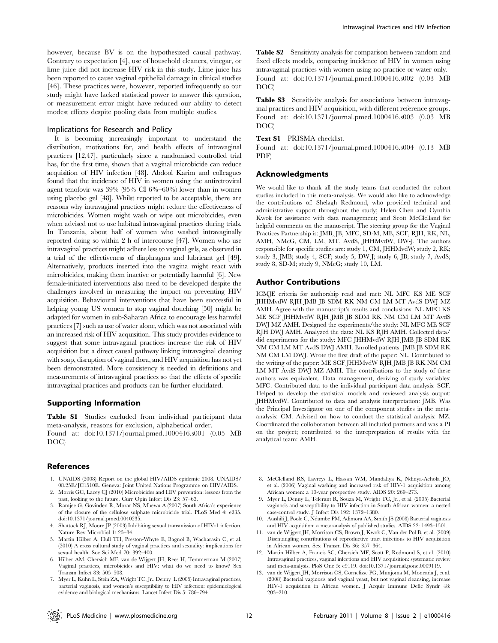however, because BV is on the hypothesized causal pathway. Contrary to expectation [4], use of household cleaners, vinegar, or lime juice did not increase HIV risk in this study. Lime juice has been reported to cause vaginal epithelial damage in clinical studies [46]. These practices were, however, reported infrequently so our study might have lacked statistical power to answer this question, or measurement error might have reduced our ability to detect modest effects despite pooling data from multiple studies.

#### Implications for Research and Policy

It is becoming increasingly important to understand the distribution, motivations for, and health effects of intravaginal practices [12,47], particularly since a randomised controlled trial has, for the first time, shown that a vaginal microbicide can reduce acquisition of HIV infection [48]. Abdool Karim and colleagues found that the incidence of HIV in women using the antiretroviral agent tenofovir was 39% (95% CI 6%–60%) lower than in women using placebo gel [48]. Whilst reported to be acceptable, there are reasons why intravaginal practices might reduce the effectiveness of microbicides. Women might wash or wipe out microbicides, even when advised not to use habitual intravaginal practices during trials. In Tanzania, about half of women who washed intravaginally reported doing so within 2 h of intercourse [47]. Women who use intravaginal practices might adhere less to vaginal gels, as observed in a trial of the effectiveness of diaphragms and lubricant gel [49]. Alternatively, products inserted into the vagina might react with microbicides, making them inactive or potentially harmful [6]. New female-initiated interventions also need to be developed despite the challenges involved in measuring the impact on preventing HIV acquisition. Behavioural interventions that have been successful in helping young US women to stop vaginal douching [50] might be adapted for women in sub-Saharan Africa to encourage less harmful practices [7] such as use of water alone, which was not associated with an increased risk of HIV acquisition. This study provides evidence to suggest that some intravaginal practices increase the risk of HIV acquisition but a direct causal pathway linking intravaginal cleaning with soap, disruption of vaginal flora, and HIV acquisition has not yet been demonstrated. More consistency is needed in definitions and measurements of intravaginal practices so that the effects of specific intravaginal practices and products can be further elucidated.

## Supporting Information

Table S1 Studies excluded from individual participant data meta-analysis, reasons for exclusion, alphabetical order.

Found at: doi:10.1371/journal.pmed.1000416.s001 (0.05 MB DOC)

## References

- 1. UNAIDS (2008) Report on the global HIV/AIDS epidemic 2008. UNAIDS/ 08.25E/JC1510E. Geneva: Joint United Nations Programme on HIV/AIDS.
- 2. Morris GC, Lacey CJ (2010) Microbicides and HIV prevention: lessons from the past, looking to the future. Curr Opin Infect Dis 23: 57–63.
- 3. Ramjee G, Govinden R, Morar NS, Mbewu A (2007) South Africa's experience of the closure of the cellulose sulphate microbicide trial. PLoS Med 4: e235. doi:10.1371/journal.pmed.0040235.
- 4. Shattock RJ, Moore JP (2003) Inhibiting sexual transmission of HIV-1 infection. Nature Rev Microbiol 1: 25–34.
- 5. Martin Hilber A, Hull TH, Preston-Whyte E, Bagnol B, Wacharasin C, et al. (2010) A cross cultural study of vaginal practices and sexuality: implications for sexual health. Soc Sci Med 70: 392–400.
- 6. Hilber AM, Chersich MF, van de Wijgert JH, Rees H, Temmerman M (2007) Vaginal practices, microbicides and HIV: what do we need to know? Sex Transm Infect 83: 505–508.
- 7. Myer L, Kuhn L, Stein ZA, Wright TC, Jr., Denny L (2005) Intravaginal practices, bacterial vaginosis, and women's susceptibility to HIV infection: epidemiological evidence and biological mechanisms. Lancet Infect Dis 5: 786–794.

Table S2 Sensitivity analysis for comparison between random and fixed effects models, comparing incidence of HIV in women using intravaginal practices with women using no practice or water only. Found at: doi:10.1371/journal.pmed.1000416.s002 (0.03 MB DOC)

Table S3 Sensitivity analysis for associations between intravaginal practices and HIV acquisition, with different reference groups. Found at: doi:10.1371/journal.pmed.1000416.s003 (0.03 MB DOC)

Text S1 PRISMA checklist.

Found at: doi:10.1371/journal.pmed.1000416.s004 (0.13 MB PDF)

#### Acknowledgments

We would like to thank all the study teams that conducted the cohort studies included in this meta-analysis. We would also like to acknowledge the contributions of: Shelagh Redmond, who provided technical and administrative support throughout the study; Helen Chen and Cynthia Kwok for assistance with data management; and Scott McClelland for helpful comments on the manuscript. The steering group for the Vaginal Practices Partnership is: JMB, JB, MFC, SD-M, ME, SCF, RJH, RK, NL, AMH, NMcG, CM, LM, MT, AvdS, JHHMvdW, DW-J. The authors responsible for specific studies are: study 1, CM, JHHMvdW; study 2, RK; study 3, JMB; study 4, SCF; study 5, DW-J; study 6, JB; study 7, AvdS; study 8, SD-M; study 9, NMcG; study 10, LM.

## Author Contributions

ICMJE criteria for authorship read and met: NL MFC KS ME SCF JHHMvdW RJH JMB JB SDM RK NM CM LM MT AvdS DWJ MZ AMH. Agree with the manuscript's results and conclusions: NL MFC KS ME SCF JHHMvdW RJH JMB JB SDM RK NM CM LM MT AvdS DWJ MZ AMH. Designed the experiments/the study: NL MFC ME SCF RJH DWJ AMH. Analyzed the data: NL KS RJH AMH. Collected data/ did experiments for the study: MFC JHHMvdW RJH JMB JB SDM RK NM CM LM MT AvdS DWJ AMH. Enrolled patients: JMB JB SDM RK NM CM LM DWJ. Wrote the first draft of the paper: NL. Contributed to the writing of the paper: ME SCF JHHMvdW RJH JMB JB RK NM CM LM MT AvdS DWJ MZ AMH. The contributions to the study of these authors was equivalent. Data management, deriving of study variables: MFC. Contributed data to the individual participant data analysis: SCF. Helped to develop the statistical models and reviewed analysis output: JHHMvdW. Contributed to data and analysis interpretation: JMB. Was the Principal Investigator on one of the component studies in the metaanalysis: CM. Advised on how to conduct the statistical analysis: MZ. Coordinated the colloboration between all included partners and was a PI on the project; contributed to the intrepreptation of results with the analytical team: AMH.

- 8. McClelland RS, Lavreys L, Hassan WM, Mandaliya K, Ndinya-Achola JO, et al. (2006) Vaginal washing and increased risk of HIV-1 acquisition among African women: a 10-year prospective study. AIDS 20: 269–273.
- 9. Myer L, Denny L, Telerant R, Souza M, Wright TC, Jr., et al. (2005) Bacterial vaginosis and susceptibility to HIV infection in South African women: a nested case-control study. J Infect Dis 192: 1372–1380.
- 10. Atashili J, Poole C, Ndumbe PM, Adimora AA, Smith JS (2008) Bacterial vaginosis and HIV acquisition: a meta-analysis of published studies. AIDS 22: 1493–1501.
- 11. van de Wijgert JH, Morrison CS, Brown J, Kwok C, Van der Pol B, et al. (2009) Disentangling contributions of reproductive tract infections to HIV acquisition in African women. Sex Transm Dis 36: 357–364.
- 12. Martin Hilber A, Francis SC, Chersich MF, Scott P, Redmond S, et al. (2010) Intravaginal practices, vaginal infections and HIV acquisition: systematic review and meta-analysis. PloS One 5: e9119. doi:10.1371/journal.pone.0009119.
- van de Wijgert JH, Morrison CS, Cornelisse PG, Munjoma M, Moncada J, et al. (2008) Bacterial vaginosis and vaginal yeast, but not vaginal cleansing, increase HIV-1 acquisition in African women. J Acquir Immune Defic Syndr 48: 203–210.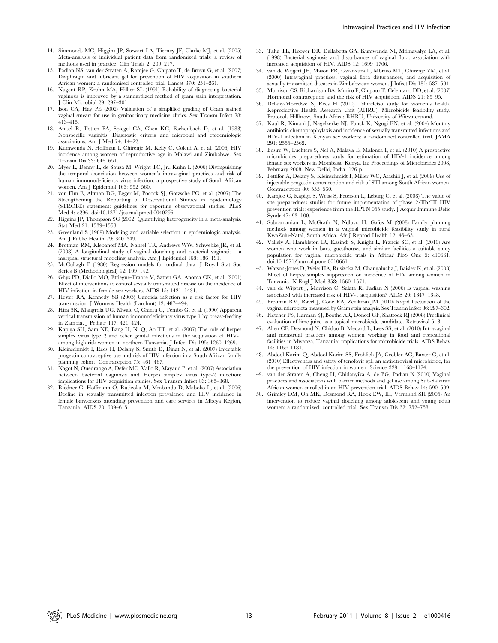- 14. Simmonds MC, Higgins JP, Stewart LA, Tierney JF, Clarke MJ, et al. (2005) Meta-analysis of individual patient data from randomized trials: a review of methods used in practice. Clin Trials 2: 209–217.
- 15. Padian NS, van der Straten A, Ramjee G, Chipato T, de Bruyn G, et al. (2007) Diaphragm and lubricant gel for prevention of HIV acquisition in southern African women: a randomised controlled trial. Lancet 370: 251–261.
- 16. Nugent RP, Krohn MA, Hillier SL (1991) Reliability of diagnosing bacterial vaginosis is improved by a standardized method of gram stain interpretation. J Clin Microbiol 29: 297–301.
- 17. Ison CA, Hay PE (2002) Validation of a simplified grading of Gram stained vaginal smears for use in genitourinary medicine clinics. Sex Transm Infect 78: 413–415.
- 18. Amsel R, Totten PA, Spiegel CA, Chen KC, Eschenbach D, et al. (1983) Nonspecific vaginitis. Diagnostic criteria and microbial and epidemiologic associations. Am J Med 74: 14–22.
- 19. Kumwenda N, Hoffman I, Chirenje M, Kelly C, Coletti A, et al. (2006) HIV incidence among women of reproductive age in Malawi and Zimbabwe. Sex Transm Dis 33: 646–651.
- 20. Myer L, Denny L, de Souza M, Wright TC, Jr., Kuhn L (2006) Distinguishing the temporal association between women's intravaginal practices and risk of human immunodeficiency virus infection: a prospective study of South African women. Am J Epidemiol 163: 552–560.
- 21. von Elm E, Altman DG, Egger M, Pocock SJ, Gotzsche PC, et al. (2007) The Strengthening the Reporting of Observational Studies in Epidemiology (STROBE) statement: guidelines for reporting observational studies. PLoS Med 4: e296. doi:10.1371/journal.pmed.0040296.
- 22. Higgins JP, Thompson SG (2002) Quantifying heterogeneity in a meta-analysis. Stat Med 21: 1539–1558.
- 23. Greenland S (1989) Modeling and variable selection in epidemiologic analysis. Am J Public Health 79: 340–349.
- 24. Brotman RM, Klebanoff MA, Nansel TR, Andrews WW, Schwebke JR, et al. (2008) A longitudinal study of vaginal douching and bacterial vaginosis - a marginal structural modeling analysis. Am J Epidemiol 168: 186–191.
- 25. McCullagh P (1980) Regression models for ordinal data. J Royal Stat Soc Series B (Methodological) 42: 109–142.
- 26. Ghys PD, Diallo MO, Ettiegne-Traore V, Satten GA, Anoma CK, et al. (2001) Effect of interventions to control sexually transmitted disease on the incidence of HIV infection in female sex workers. AIDS 15: 1421–1431.
- 27. Hester RA, Kennedy SB (2003) Candida infection as a risk factor for HIV transmission. J Womens Health (Larchmt) 12: 487–494.
- 28. Hira SK, Mangrola UG, Mwale C, Chintu C, Tembo G, et al. (1990) Apparent vertical transmission of human immunodeficiency virus type 1 by breast-feeding in Zambia. J Pediatr 117: 421–424.
- 29. Kapiga SH, Sam NE, Bang H, Ni Q, Ao TT, et al. (2007) The role of herpes simplex virus type 2 and other genital infections in the acquisition of HIV-1 among high-risk women in northern Tanzania. J Infect Dis 195: 1260–1269.
- 30. Kleinschmidt I, Rees H, Delany S, Smith D, Dinat N, et al. (2007) Injectable progestin contraceptive use and risk of HIV infection in a South African family planning cohort. Contraception 75: 461–467.
- 31. Nagot N, Ouedraogo A, Defer MC, Vallo R, Mayaud P, et al. (2007) Association between bacterial vaginosis and Herpes simplex virus type-2 infection: implications for HIV acquisition studies. Sex Transm Infect 83: 365–368.
- 32. Riedner G, Hoffmann O, Rusizoka M, Mmbando D, Maboko L, et al. (2006) Decline in sexually transmitted infection prevalence and HIV incidence in female barworkers attending prevention and care services in Mbeya Region, Tanzania. AIDS 20: 609–615.
- 33. Taha TE, Hoover DR, Dallabetta GA, Kumwenda NI, Mtimavalye LA, et al. (1998) Bacterial vaginosis and disturbances of vaginal flora: association with increased acquisition of HIV. AIDS 12: 1699–1706.
- 34. van de Wijgert JH, Mason PR, Gwanzura L, Mbizvo MT, Chirenje ZM, et al. (2000) Intravaginal practices, vaginal flora disturbances, and acquisition of sexually transmitted diseases in Zimbabwean women. J Infect Dis 181: 587–594.
- 35. Morrison CS, Richardson BA, Mmiro F, Chipato T, Celentano DD, et al. (2007) Hormonal contraception and the risk of HIV acquisition. AIDS 21: 85–95.
- 36. Delany-Moretlwe S, Rees H (2010) Tshireletso study for women's health. Reproductive Health Research Unit (RHRU). Microbicide feasibility study. Protocol. Hillbrow, South Africa: RHRU, University of Witwatersrand.
- 37. Kaul R, Kimani J, Nagelkerke NJ, Fonck K, Ngugi EN, et al. (2004) Monthly antibiotic chemoprophylaxis and incidence of sexually transmitted infections and HIV-1 infection in Kenyan sex workers: a randomized controlled trial. JAMA 291: 2555–2562.
- 38. Bosire W, Luchters S, Nel A, Malava E, Malonza I, et al. (2010) A prospective microbicides preparedness study for estimation of HIV-1 incidence among female sex workers in Mombasa, Kenya. In: Proceedings of Microbicides 2008, February 2008. New Delhi, India. 126 p.
- 39. Pettifor A, Delany S, Kleinschmidt I, Miller WC, Atashili J, et al. (2009) Use of injectable progestin contraception and risk of STI among South African women. Contraception 80: 555–560.
- 40. Ramjee G, Kapiga S, Weiss S, Peterson L, Leburg C, et al. (2008) The value of site preparedness studies for future implementation of phase 2/IIb/III HIV prevention trials: experience from the HPTN 055 study. J Acquir Immune Defic Syndr 47: 93–100.
- 41. Subramanian L, McGrath N, Ndlovu H, Gafos M (2008) Family planning methods among women in a vaginal microbicide feasibility study in rural KwaZulu-Natal, South Africa. Afr J Reprod Health 12: 45–63.
- 42. Vallely A, Hambleton IR, Kasindi S, Knight L, Francis SC, et al. (2010) Are women who work in bars, guesthouses and similar facilities a suitable study population for vaginal microbicide trials in Africa? PloS One 5: e10661. doi:10.1371/journal.pone.0010661.
- 43. Watson-Jones D, Weiss HA, Rusizoka M, Changalucha J, Baisley K, et al. (2008) Effect of herpes simplex suppression on incidence of HIV among women in Tanzania. N Engl J Med 358: 1560–1571.
- 44. van de Wijgert J, Morrison C, Salata R, Padian N (2006) Is vaginal washing associated with increased risk of HIV-1 acquisition? AIDS 20: 1347–1348.
- 45. Brotman RM, Ravel J, Cone RA, Zenilman JM (2010) Rapid fluctuation of the vaginal microbiota measured by Gram stain analysis. Sex Transm Infect 86: 297–302.
- 46. Fletcher PS, Harman SJ, Boothe AR, Doncel GF, Shattock RJ (2008) Preclinical evaluation of lime juice as a topical microbicide candidate. Retrovirol 5: 3.
- 47. Allen CF, Desmond N, Chiduo B, Medard L, Lees SS, et al. (2010) Intravaginal and menstrual practices among women working in food and recreational facilities in Mwanza, Tanzania: implications for microbicide trials. AIDS Behav 14: 1169–1181.
- 48. Abdool Karim Q, Abdool Karim SS, Frohlich JA, Grobler AC, Baxter C, et al. (2010) Effectiveness and safety of tenofovir gel, an antiretroviral microbicide, for the prevention of HIV infection in women. Science 329: 1168–1174.
- 49. van der Straten A, Cheng H, Chidanyika A, de BG, Padian N (2010) Vaginal practices and associations with barrier methods and gel use among Sub-Saharan African women enrolled in an HIV prevention trial. AIDS Behav 14: 590–599.
- 50. Grimley DM, Oh MK, Desmond RA, Hook EW, III, Vermund SH (2005) An intervention to reduce vaginal douching among adolescent and young adult women: a randomized, controlled trial. Sex Transm Dis 32: 752–758.